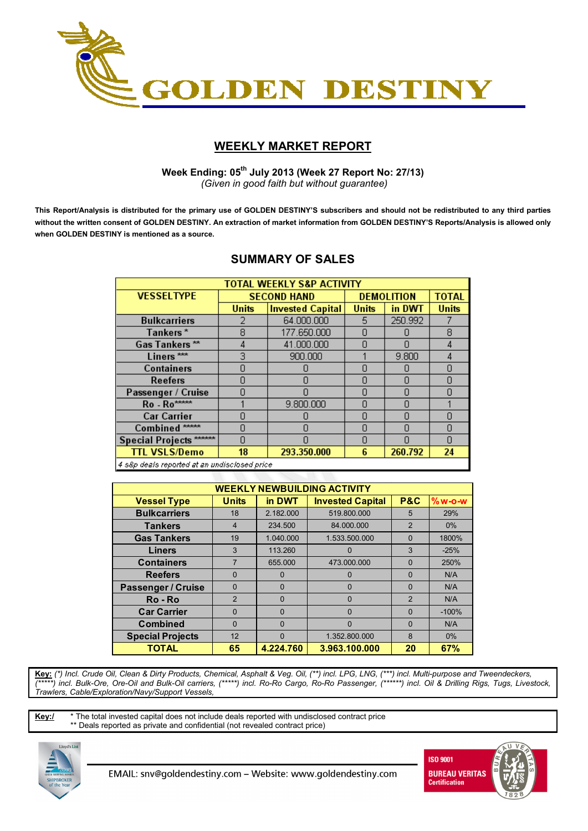

# **WEEKLY MARKET REPORT**

 **Week Ending: 05th July 2013 (Week 27 Report No: 27/13)**  *(Given in good faith but without guarantee)* 

**This Report/Analysis is distributed for the primary use of GOLDEN DESTINY'S subscribers and should not be redistributed to any third parties without the written consent of GOLDEN DESTINY. An extraction of market information from GOLDEN DESTINY'S Reports/Analysis is allowed only when GOLDEN DESTINY is mentioned as a source.** 

| <b>SUMMARY OF SALES</b> |  |
|-------------------------|--|
|                         |  |

| <b>TOTAL WEEKLY S&amp;P ACTIVITY</b>          |              |                         |                   |              |              |  |  |  |
|-----------------------------------------------|--------------|-------------------------|-------------------|--------------|--------------|--|--|--|
| <b>VESSELTYPE</b>                             |              | <b>SECOND HAND</b>      | <b>DEMOLITION</b> | <b>TOTAL</b> |              |  |  |  |
|                                               | <b>Units</b> | <b>Invested Capital</b> | <b>Units</b>      | in DWT       | <b>Units</b> |  |  |  |
| <b>Bulkcarriers</b>                           |              | 64.000.000              | 5.                | 250.992      |              |  |  |  |
| Tankers*                                      | 8            | 177.650.000             | n                 |              | 8            |  |  |  |
| Gas Tankers**                                 | 4            | 41.000.000              | n                 |              | 4            |  |  |  |
| Liners <sup>***</sup>                         | 3            | 900.000                 |                   | 9.800        | 4            |  |  |  |
| <b>Containers</b>                             |              |                         | n                 |              | Ω            |  |  |  |
| Reefers                                       | n            | N                       | n                 |              | Π            |  |  |  |
| Passenger / Cruise                            |              |                         | n                 |              |              |  |  |  |
| Ro - Ro****                                   |              | 9.800.000               | $\Box$            |              |              |  |  |  |
| <b>Car Carrier</b>                            |              |                         | n                 |              | Ω            |  |  |  |
| Combined <sup>*****</sup>                     | n            | Π                       | 0                 |              | Π            |  |  |  |
| Special Projects ******                       | n            |                         | n                 |              | n            |  |  |  |
| <b>TTL VSLS/Demo</b>                          | 18           | 293.350.000             | 6                 | 260.792      | 24           |  |  |  |
| 4 eRn deale renorted at an undiecipeed nrice. |              |                         |                   |              |              |  |  |  |

sup deals reported at an undisclosed pric

| <b>WEEKLY NEWBUILDING ACTIVITY</b> |                |           |                         |                |          |  |  |  |
|------------------------------------|----------------|-----------|-------------------------|----------------|----------|--|--|--|
| <b>Vessel Type</b>                 | <b>Units</b>   | in DWT    | <b>Invested Capital</b> | <b>P&amp;C</b> | $%w-o-w$ |  |  |  |
| <b>Bulkcarriers</b>                | 18             | 2.182.000 | 519.800.000             | 5              | 29%      |  |  |  |
| <b>Tankers</b>                     | $\overline{4}$ | 234,500   | 84.000.000              | $\overline{2}$ | $0\%$    |  |  |  |
| <b>Gas Tankers</b>                 | 19             | 1.040.000 | 1.533.500.000           | $\Omega$       | 1800%    |  |  |  |
| <b>Liners</b>                      | 3              | 113.260   | O                       | 3              | $-25%$   |  |  |  |
| <b>Containers</b>                  |                | 655.000   | 473.000.000             | $\Omega$       | 250%     |  |  |  |
| <b>Reefers</b>                     | $\Omega$       | $\Omega$  | $\Omega$                | $\Omega$       | N/A      |  |  |  |
| <b>Passenger / Cruise</b>          | $\Omega$       | $\Omega$  | $\Omega$                | $\Omega$       | N/A      |  |  |  |
| Ro-Ro                              | $\overline{2}$ | $\Omega$  | $\Omega$                | $\overline{2}$ | N/A      |  |  |  |
| <b>Car Carrier</b>                 | $\Omega$       | $\Omega$  | $\Omega$                | $\Omega$       | $-100%$  |  |  |  |
| <b>Combined</b>                    | $\Omega$       | $\Omega$  | $\Omega$                | $\Omega$       | N/A      |  |  |  |
| <b>Special Projects</b>            | 12             | $\Omega$  | 1.352.800.000           | 8              | 0%       |  |  |  |
| <b>TOTAL</b>                       | 65             | 4.224.760 | 3.963.100.000           | 20             | 67%      |  |  |  |

**Key:** *(\*) Incl. Crude Oil, Clean & Dirty Products, Chemical, Asphalt & Veg. Oil, (\*\*) incl. LPG, LNG, (\*\*\*) incl. Multi-purpose and Tweendeckers, (\*\*\*\*\*) incl. Bulk-Ore, Ore-Oil and Bulk-Oil carriers, (\*\*\*\*\*) incl. Ro-Ro Cargo, Ro-Ro Passenger, (\*\*\*\*\*\*) incl. Oil & Drilling Rigs, Tugs, Livestock, Trawlers, Cable/Exploration/Navy/Support Vessels,* 

**Key:/** \* The total invested capital does not include deals reported with undisclosed contract price \*\* Deals reported as private and confidential (not revealed contract price)



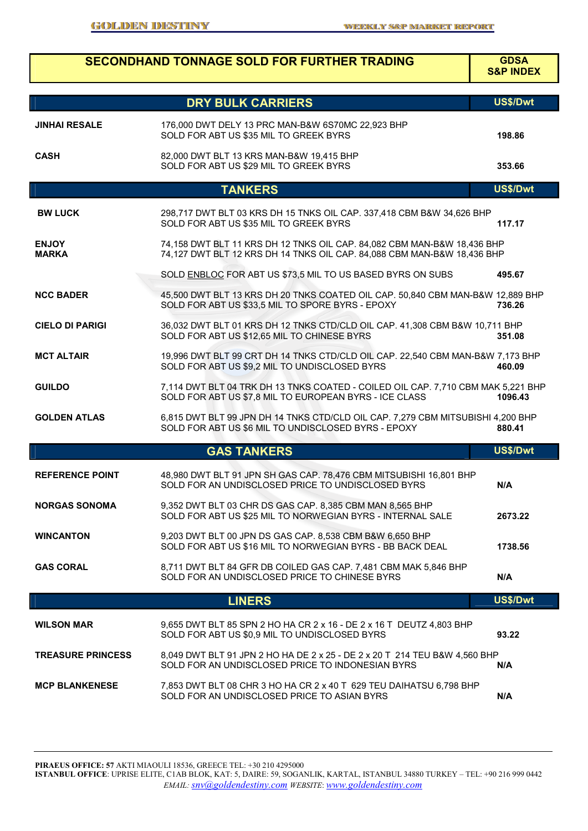|                                                                                                                                                                                       |                                                                                                                                                                                                                                                                                                                                                                                                                                                                                                                                                                                                                                                                                                                                                                                                                                                                                                                                                                                                                                                                                                                                                                                                                                                                                                                                                                                                                                                                                                                                                                                                                                                                                                                                                                                                                                                                                                                                                                                                                                                                                                                                 | <b>GDSA</b><br><b>S&amp;P INDEX</b> |  |
|---------------------------------------------------------------------------------------------------------------------------------------------------------------------------------------|---------------------------------------------------------------------------------------------------------------------------------------------------------------------------------------------------------------------------------------------------------------------------------------------------------------------------------------------------------------------------------------------------------------------------------------------------------------------------------------------------------------------------------------------------------------------------------------------------------------------------------------------------------------------------------------------------------------------------------------------------------------------------------------------------------------------------------------------------------------------------------------------------------------------------------------------------------------------------------------------------------------------------------------------------------------------------------------------------------------------------------------------------------------------------------------------------------------------------------------------------------------------------------------------------------------------------------------------------------------------------------------------------------------------------------------------------------------------------------------------------------------------------------------------------------------------------------------------------------------------------------------------------------------------------------------------------------------------------------------------------------------------------------------------------------------------------------------------------------------------------------------------------------------------------------------------------------------------------------------------------------------------------------------------------------------------------------------------------------------------------------|-------------------------------------|--|
|                                                                                                                                                                                       |                                                                                                                                                                                                                                                                                                                                                                                                                                                                                                                                                                                                                                                                                                                                                                                                                                                                                                                                                                                                                                                                                                                                                                                                                                                                                                                                                                                                                                                                                                                                                                                                                                                                                                                                                                                                                                                                                                                                                                                                                                                                                                                                 | US\$/Dwt                            |  |
|                                                                                                                                                                                       |                                                                                                                                                                                                                                                                                                                                                                                                                                                                                                                                                                                                                                                                                                                                                                                                                                                                                                                                                                                                                                                                                                                                                                                                                                                                                                                                                                                                                                                                                                                                                                                                                                                                                                                                                                                                                                                                                                                                                                                                                                                                                                                                 |                                     |  |
|                                                                                                                                                                                       | <b>SECONDHAND TONNAGE SOLD FOR FURTHER TRADING</b><br><b>DRY BULK CARRIERS</b><br>176,000 DWT DELY 13 PRC MAN-B&W 6S70MC 22,923 BHP<br>SOLD FOR ABT US \$35 MIL TO GREEK BYRS<br>82,000 DWT BLT 13 KRS MAN-B&W 19,415 BHP<br>SOLD FOR ABT US \$29 MIL TO GREEK BYRS<br><b>TANKERS</b><br>298,717 DWT BLT 03 KRS DH 15 TNKS OIL CAP. 337,418 CBM B&W 34,626 BHP<br>SOLD FOR ABT US \$35 MIL TO GREEK BYRS<br>74,158 DWT BLT 11 KRS DH 12 TNKS OIL CAP. 84,082 CBM MAN-B&W 18,436 BHP<br>74,127 DWT BLT 12 KRS DH 14 TNKS OIL CAP. 84,088 CBM MAN-B&W 18,436 BHP<br>SOLD ENBLOC FOR ABT US \$73,5 MIL TO US BASED BYRS ON SUBS<br>45,500 DWT BLT 13 KRS DH 20 TNKS COATED OIL CAP. 50,840 CBM MAN-B&W 12,889 BHP<br>SOLD FOR ABT US \$33,5 MIL TO SPORE BYRS - EPOXY<br>36,032 DWT BLT 01 KRS DH 12 TNKS CTD/CLD OIL CAP. 41,308 CBM B&W 10,711 BHP<br>SOLD FOR ABT US \$12,65 MIL TO CHINESE BYRS<br>19,996 DWT BLT 99 CRT DH 14 TNKS CTD/CLD OIL CAP. 22,540 CBM MAN-B&W 7,173 BHP<br>SOLD FOR ABT US \$9,2 MIL TO UNDISCLOSED BYRS<br>7,114 DWT BLT 04 TRK DH 13 TNKS COATED - COILED OIL CAP. 7,710 CBM MAK 5,221 BHP<br>SOLD FOR ABT US \$7,8 MIL TO EUROPEAN BYRS - ICE CLASS<br>6,815 DWT BLT 99 JPN DH 14 TNKS CTD/CLD OIL CAP. 7,279 CBM MITSUBISHI 4,200 BHP<br>SOLD FOR ABT US \$6 MIL TO UNDISCLOSED BYRS - EPOXY<br><b>GAS TANKERS</b><br>48,980 DWT BLT 91 JPN SH GAS CAP. 78,476 CBM MITSUBISHI 16,801 BHP<br>SOLD FOR AN UNDISCLOSED PRICE TO UNDISCLOSED BYRS<br>9,352 DWT BLT 03 CHR DS GAS CAP. 8,385 CBM MAN 8,565 BHP<br>SOLD FOR ABT US \$25 MIL TO NORWEGIAN BYRS - INTERNAL SALE<br>9,203 DWT BLT 00 JPN DS GAS CAP. 8,538 CBM B&W 6,650 BHP<br>SOLD FOR ABT US \$16 MIL TO NORWEGIAN BYRS - BB BACK DEAL<br>8,711 DWT BLT 84 GFR DB COILED GAS CAP. 7,481 CBM MAK 5,846 BHP<br>SOLD FOR AN UNDISCLOSED PRICE TO CHINESE BYRS<br><b>LINERS</b><br>9,655 DWT BLT 85 SPN 2 HO HA CR 2 x 16 - DE 2 x 16 T DEUTZ 4,803 BHP<br>SOLD FOR ABT US \$0,9 MIL TO UNDISCLOSED BYRS<br>8,049 DWT BLT 91 JPN 2 HO HA DE 2 x 25 - DE 2 x 20 T 214 TEU B&W 4,560 BHP<br>SOLD FOR AN UNDISCLOSED PRICE TO INDONESIAN BYRS |                                     |  |
| <b>CASH</b>                                                                                                                                                                           |                                                                                                                                                                                                                                                                                                                                                                                                                                                                                                                                                                                                                                                                                                                                                                                                                                                                                                                                                                                                                                                                                                                                                                                                                                                                                                                                                                                                                                                                                                                                                                                                                                                                                                                                                                                                                                                                                                                                                                                                                                                                                                                                 | 353.66                              |  |
|                                                                                                                                                                                       |                                                                                                                                                                                                                                                                                                                                                                                                                                                                                                                                                                                                                                                                                                                                                                                                                                                                                                                                                                                                                                                                                                                                                                                                                                                                                                                                                                                                                                                                                                                                                                                                                                                                                                                                                                                                                                                                                                                                                                                                                                                                                                                                 | US\$/Dwt                            |  |
| <b>BW LUCK</b>                                                                                                                                                                        |                                                                                                                                                                                                                                                                                                                                                                                                                                                                                                                                                                                                                                                                                                                                                                                                                                                                                                                                                                                                                                                                                                                                                                                                                                                                                                                                                                                                                                                                                                                                                                                                                                                                                                                                                                                                                                                                                                                                                                                                                                                                                                                                 | 117.17                              |  |
| <b>ENJOY</b><br><b>MARKA</b>                                                                                                                                                          |                                                                                                                                                                                                                                                                                                                                                                                                                                                                                                                                                                                                                                                                                                                                                                                                                                                                                                                                                                                                                                                                                                                                                                                                                                                                                                                                                                                                                                                                                                                                                                                                                                                                                                                                                                                                                                                                                                                                                                                                                                                                                                                                 |                                     |  |
|                                                                                                                                                                                       |                                                                                                                                                                                                                                                                                                                                                                                                                                                                                                                                                                                                                                                                                                                                                                                                                                                                                                                                                                                                                                                                                                                                                                                                                                                                                                                                                                                                                                                                                                                                                                                                                                                                                                                                                                                                                                                                                                                                                                                                                                                                                                                                 | 495.67                              |  |
| <b>NCC BADER</b>                                                                                                                                                                      |                                                                                                                                                                                                                                                                                                                                                                                                                                                                                                                                                                                                                                                                                                                                                                                                                                                                                                                                                                                                                                                                                                                                                                                                                                                                                                                                                                                                                                                                                                                                                                                                                                                                                                                                                                                                                                                                                                                                                                                                                                                                                                                                 | 736.26                              |  |
| <b>CIELO DI PARIGI</b>                                                                                                                                                                |                                                                                                                                                                                                                                                                                                                                                                                                                                                                                                                                                                                                                                                                                                                                                                                                                                                                                                                                                                                                                                                                                                                                                                                                                                                                                                                                                                                                                                                                                                                                                                                                                                                                                                                                                                                                                                                                                                                                                                                                                                                                                                                                 | 351.08                              |  |
| <b>MCT ALTAIR</b>                                                                                                                                                                     |                                                                                                                                                                                                                                                                                                                                                                                                                                                                                                                                                                                                                                                                                                                                                                                                                                                                                                                                                                                                                                                                                                                                                                                                                                                                                                                                                                                                                                                                                                                                                                                                                                                                                                                                                                                                                                                                                                                                                                                                                                                                                                                                 | 460.09                              |  |
| <b>GUILDO</b>                                                                                                                                                                         |                                                                                                                                                                                                                                                                                                                                                                                                                                                                                                                                                                                                                                                                                                                                                                                                                                                                                                                                                                                                                                                                                                                                                                                                                                                                                                                                                                                                                                                                                                                                                                                                                                                                                                                                                                                                                                                                                                                                                                                                                                                                                                                                 | 1096.43                             |  |
| <b>GOLDEN ATLAS</b>                                                                                                                                                                   |                                                                                                                                                                                                                                                                                                                                                                                                                                                                                                                                                                                                                                                                                                                                                                                                                                                                                                                                                                                                                                                                                                                                                                                                                                                                                                                                                                                                                                                                                                                                                                                                                                                                                                                                                                                                                                                                                                                                                                                                                                                                                                                                 | 880.41                              |  |
|                                                                                                                                                                                       |                                                                                                                                                                                                                                                                                                                                                                                                                                                                                                                                                                                                                                                                                                                                                                                                                                                                                                                                                                                                                                                                                                                                                                                                                                                                                                                                                                                                                                                                                                                                                                                                                                                                                                                                                                                                                                                                                                                                                                                                                                                                                                                                 | US\$/Dwt                            |  |
| <b>REFERENCE POINT</b>                                                                                                                                                                |                                                                                                                                                                                                                                                                                                                                                                                                                                                                                                                                                                                                                                                                                                                                                                                                                                                                                                                                                                                                                                                                                                                                                                                                                                                                                                                                                                                                                                                                                                                                                                                                                                                                                                                                                                                                                                                                                                                                                                                                                                                                                                                                 | N/A                                 |  |
| <b>NORGAS SONOMA</b>                                                                                                                                                                  |                                                                                                                                                                                                                                                                                                                                                                                                                                                                                                                                                                                                                                                                                                                                                                                                                                                                                                                                                                                                                                                                                                                                                                                                                                                                                                                                                                                                                                                                                                                                                                                                                                                                                                                                                                                                                                                                                                                                                                                                                                                                                                                                 | 2673.22                             |  |
| <b>JINHAI RESALE</b><br><b>WINCANTON</b><br><b>GAS CORAL</b><br><b>WILSON MAR</b><br><b>TREASURE PRINCESS</b><br><b>MCP BLANKENESE</b><br>SOLD FOR AN UNDISCLOSED PRICE TO ASIAN BYRS |                                                                                                                                                                                                                                                                                                                                                                                                                                                                                                                                                                                                                                                                                                                                                                                                                                                                                                                                                                                                                                                                                                                                                                                                                                                                                                                                                                                                                                                                                                                                                                                                                                                                                                                                                                                                                                                                                                                                                                                                                                                                                                                                 | 1738.56                             |  |
|                                                                                                                                                                                       |                                                                                                                                                                                                                                                                                                                                                                                                                                                                                                                                                                                                                                                                                                                                                                                                                                                                                                                                                                                                                                                                                                                                                                                                                                                                                                                                                                                                                                                                                                                                                                                                                                                                                                                                                                                                                                                                                                                                                                                                                                                                                                                                 | N/A                                 |  |
|                                                                                                                                                                                       |                                                                                                                                                                                                                                                                                                                                                                                                                                                                                                                                                                                                                                                                                                                                                                                                                                                                                                                                                                                                                                                                                                                                                                                                                                                                                                                                                                                                                                                                                                                                                                                                                                                                                                                                                                                                                                                                                                                                                                                                                                                                                                                                 |                                     |  |
|                                                                                                                                                                                       |                                                                                                                                                                                                                                                                                                                                                                                                                                                                                                                                                                                                                                                                                                                                                                                                                                                                                                                                                                                                                                                                                                                                                                                                                                                                                                                                                                                                                                                                                                                                                                                                                                                                                                                                                                                                                                                                                                                                                                                                                                                                                                                                 | 93.22                               |  |
|                                                                                                                                                                                       |                                                                                                                                                                                                                                                                                                                                                                                                                                                                                                                                                                                                                                                                                                                                                                                                                                                                                                                                                                                                                                                                                                                                                                                                                                                                                                                                                                                                                                                                                                                                                                                                                                                                                                                                                                                                                                                                                                                                                                                                                                                                                                                                 | N/A                                 |  |
|                                                                                                                                                                                       | 7,853 DWT BLT 08 CHR 3 HO HA CR 2 x 40 T 629 TEU DAIHATSU 6,798 BHP                                                                                                                                                                                                                                                                                                                                                                                                                                                                                                                                                                                                                                                                                                                                                                                                                                                                                                                                                                                                                                                                                                                                                                                                                                                                                                                                                                                                                                                                                                                                                                                                                                                                                                                                                                                                                                                                                                                                                                                                                                                             | N/A                                 |  |

**PIRAEUS OFFICE: 57** AKTI MIAOULI 18536, GREECE TEL: +30 210 4295000 **ISTANBUL OFFICE**: UPRISE ELITE, C1AB BLOK, KAT: 5, DAIRE: 59, SOGANLIK, KARTAL, ISTANBUL 34880 TURKEY – TEL: +90 216 999 0442 *EMAIL: snv@goldendestiny.com WEBSITE*: *www.goldendestiny.com*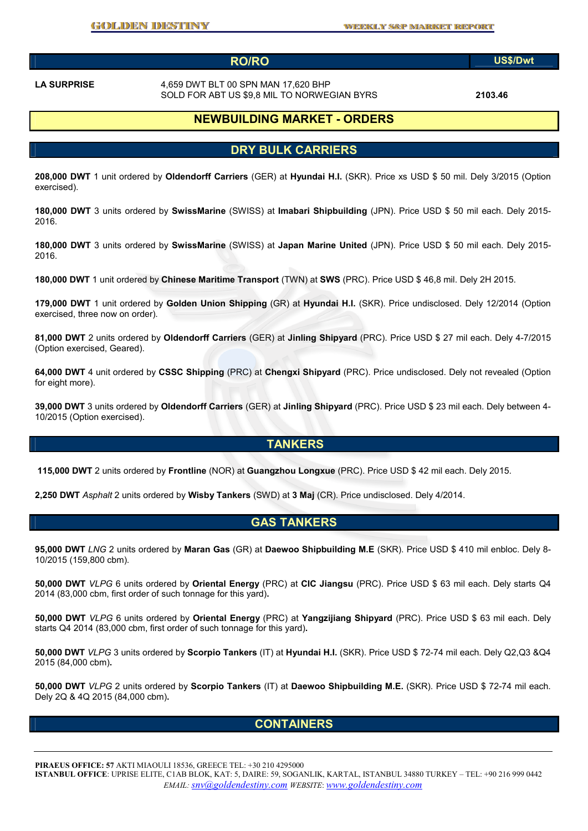### **RO/RO US\$/Dwt**

**LA SURPRISE** 4,659 DWT BLT 00 SPN MAN 17,620 BHP SOLD FOR ABT US \$9,8 MIL TO NORWEGIAN BYRS **2103.46** 

# **NEWBUILDING MARKET - ORDERS**

# **DRY BULK CARRIERS**

**208,000 DWT** 1 unit ordered by **Oldendorff Carriers** (GER) at **Hyundai H.I.** (SKR). Price xs USD \$ 50 mil. Dely 3/2015 (Option exercised).

**180,000 DWT** 3 units ordered by **SwissMarine** (SWISS) at **Imabari Shipbuilding** (JPN). Price USD \$ 50 mil each. Dely 2015- 2016.

**180,000 DWT** 3 units ordered by **SwissMarine** (SWISS) at **Japan Marine United** (JPN). Price USD \$ 50 mil each. Dely 2015- 2016.

**180,000 DWT** 1 unit ordered by **Chinese Maritime Transport** (TWN) at **SWS** (PRC). Price USD \$ 46,8 mil. Dely 2H 2015.

**179,000 DWT** 1 unit ordered by **Golden Union Shipping** (GR) at **Hyundai H.I.** (SKR). Price undisclosed. Dely 12/2014 (Option exercised, three now on order).

**81,000 DWT** 2 units ordered by **Oldendorff Carriers** (GER) at **Jinling Shipyard** (PRC). Price USD \$ 27 mil each. Dely 4-7/2015 (Option exercised, Geared).

**64,000 DWT** 4 unit ordered by **CSSC Shipping** (PRC) at **Chengxi Shipyard** (PRC). Price undisclosed. Dely not revealed (Option for eight more).

**39,000 DWT** 3 units ordered by **Oldendorff Carriers** (GER) at **Jinling Shipyard** (PRC). Price USD \$ 23 mil each. Dely between 4- 10/2015 (Option exercised).

#### **TANKERS**

**115,000 DWT** 2 units ordered by **Frontline** (NOR) at **Guangzhou Longxue** (PRC). Price USD \$ 42 mil each. Dely 2015.

**2,250 DWT** *Asphalt* 2 units ordered by **Wisby Tankers** (SWD) at **3 Maj** (CR). Price undisclosed. Dely 4/2014.

#### **GAS TANKERS**

**95,000 DWT** *LNG* 2 units ordered by **Maran Gas** (GR) at **Daewoo Shipbuilding M.E** (SKR). Price USD \$ 410 mil enbloc. Dely 8- 10/2015 (159,800 cbm).

**50,000 DWT** *VLPG* 6 units ordered by **Oriental Energy** (PRC) at **CIC Jiangsu** (PRC). Price USD \$ 63 mil each. Dely starts Q4 2014 (83,000 cbm, first order of such tonnage for this yard)**.** 

**50,000 DWT** *VLPG* 6 units ordered by **Oriental Energy** (PRC) at **Yangzijiang Shipyard** (PRC). Price USD \$ 63 mil each. Dely starts Q4 2014 (83,000 cbm, first order of such tonnage for this yard)**.** 

**50,000 DWT** *VLPG* 3 units ordered by **Scorpio Tankers** (IT) at **Hyundai H.I.** (SKR). Price USD \$ 72-74 mil each. Dely Q2,Q3 &Q4 2015 (84,000 cbm)**.** 

**50,000 DWT** *VLPG* 2 units ordered by **Scorpio Tankers** (IT) at **Daewoo Shipbuilding M.E.** (SKR). Price USD \$ 72-74 mil each. Dely 2Q & 4Q 2015 (84,000 cbm)**.** 

#### **CONTAINERS**

**PIRAEUS OFFICE: 57** AKTI MIAOULI 18536, GREECE TEL: +30 210 4295000

**ISTANBUL OFFICE**: UPRISE ELITE, C1AB BLOK, KAT: 5, DAIRE: 59, SOGANLIK, KARTAL, ISTANBUL 34880 TURKEY – TEL: +90 216 999 0442 *EMAIL: snv@goldendestiny.com WEBSITE*: *www.goldendestiny.com*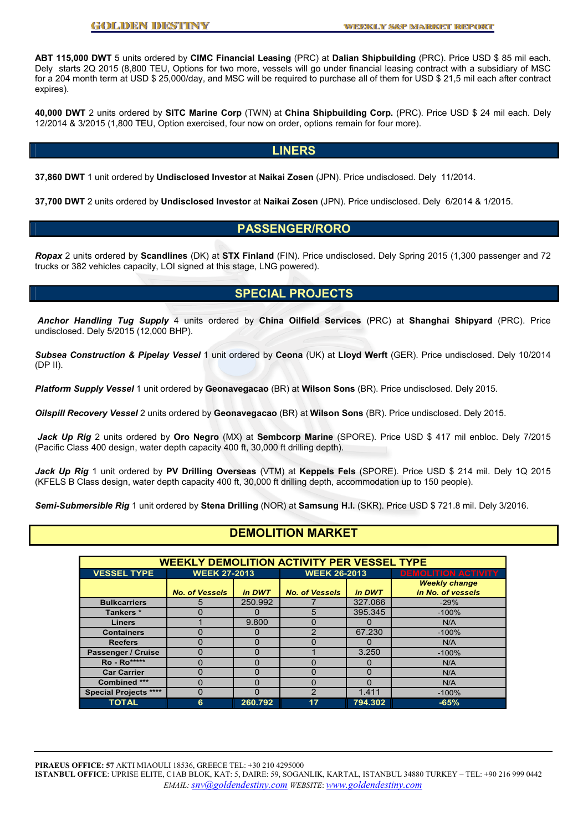**ABT 115,000 DWT** 5 units ordered by **CIMC Financial Leasing** (PRC) at **Dalian Shipbuilding** (PRC). Price USD \$ 85 mil each. Dely starts 2Q 2015 (8,800 TEU, Options for two more, vessels will go under financial leasing contract with a subsidiary of MSC for a 204 month term at USD \$ 25,000/day, and MSC will be required to purchase all of them for USD \$ 21,5 mil each after contract expires).

**40,000 DWT** 2 units ordered by **SITC Marine Corp** (TWN) at **China Shipbuilding Corp.** (PRC). Price USD \$ 24 mil each. Dely 12/2014 & 3/2015 (1,800 TEU, Option exercised, four now on order, options remain for four more).

#### **LINERS**

**37,860 DWT** 1 unit ordered by **Undisclosed Investor** at **Naikai Zosen** (JPN). Price undisclosed. Dely 11/2014.

**37,700 DWT** 2 units ordered by **Undisclosed Investor** at **Naikai Zosen** (JPN). Price undisclosed. Dely 6/2014 & 1/2015.

#### **PASSENGER/RORO**

*Ropax* 2 units ordered by **Scandlines** (DK) at **STX Finland** (FIN). Price undisclosed. Dely Spring 2015 (1,300 passenger and 72 trucks or 382 vehicles capacity, LOI signed at this stage, LNG powered).

# **SPECIAL PROJECTS**

*Anchor Handling Tug Supply* 4 units ordered by **China Oilfield Services** (PRC) at **Shanghai Shipyard** (PRC). Price undisclosed. Dely 5/2015 (12,000 BHP).

*Subsea Construction & Pipelay Vessel* 1 unit ordered by **Ceona** (UK) at **Lloyd Werft** (GER). Price undisclosed. Dely 10/2014 (DP II).

*Platform Supply Vessel* 1 unit ordered by **Geonavegacao** (BR) at **Wilson Sons** (BR). Price undisclosed. Dely 2015.

*Oilspill Recovery Vessel* 2 units ordered by **Geonavegacao** (BR) at **Wilson Sons** (BR). Price undisclosed. Dely 2015.

*Jack Up Rig* 2 units ordered by **Oro Negro** (MX) at **Sembcorp Marine** (SPORE). Price USD \$ 417 mil enbloc. Dely 7/2015 (Pacific Class 400 design, water depth capacity 400 ft, 30,000 ft drilling depth).

*Jack Up Rig* 1 unit ordered by **PV Drilling Overseas** (VTM) at **Keppels Fels** (SPORE). Price USD \$ 214 mil. Dely 1Q 2015 (KFELS B Class design, water depth capacity 400 ft, 30,000 ft drilling depth, accommodation up to 150 people).

*Semi-Submersible Rig* 1 unit ordered by **Stena Drilling** (NOR) at **Samsung H.I.** (SKR). Price USD \$ 721.8 mil. Dely 3/2016.

# **DEMOLITION MARKET**

| <b>WEEKLY DEMOLITION ACTIVITY PER VESSEL TYPE</b> |                       |              |                       |          |                            |  |  |  |
|---------------------------------------------------|-----------------------|--------------|-----------------------|----------|----------------------------|--|--|--|
| <b>VESSEL TYPE</b>                                | <b>WEEK 27-2013</b>   |              | <b>WEEK 26-2013</b>   |          | <b>DEMOLITION ACTIVITY</b> |  |  |  |
|                                                   |                       |              |                       |          | <b>Weekly change</b>       |  |  |  |
|                                                   | <b>No. of Vessels</b> | in DWT       | <b>No. of Vessels</b> | in DWT   | in No. of vessels          |  |  |  |
| <b>Bulkcarriers</b>                               | 5                     | 250.992      |                       | 327.066  | $-29%$                     |  |  |  |
| Tankers *                                         |                       |              | 5                     | 395.345  | $-100%$                    |  |  |  |
| <b>Liners</b>                                     |                       | 9.800        | O                     | 0        | N/A                        |  |  |  |
| <b>Containers</b>                                 | 0                     | $\mathbf{O}$ | າ                     | 67.230   | $-100%$                    |  |  |  |
| <b>Reefers</b>                                    | O                     | O            |                       | $\Omega$ | N/A                        |  |  |  |
| Passenger / Cruise                                |                       | 0            |                       | 3.250    | $-100%$                    |  |  |  |
| <b>Ro</b> - Ro*****                               | O                     | U            | O                     | $\Omega$ | N/A                        |  |  |  |
| <b>Car Carrier</b>                                | 0                     |              |                       | $\Omega$ | N/A                        |  |  |  |
| Combined ***                                      | O                     | O            | O                     | $\Omega$ | N/A                        |  |  |  |
| <b>Special Projects ****</b>                      |                       | U            | 2                     | 1.411    | $-100%$                    |  |  |  |
| <b>TOTAL</b>                                      | 6                     | 260.792      | 17                    | 794.302  | $-65%$                     |  |  |  |

**PIRAEUS OFFICE: 57** AKTI MIAOULI 18536, GREECE TEL: +30 210 4295000 **ISTANBUL OFFICE**: UPRISE ELITE, C1AB BLOK, KAT: 5, DAIRE: 59, SOGANLIK, KARTAL, ISTANBUL 34880 TURKEY – TEL: +90 216 999 0442 *EMAIL: snv@goldendestiny.com WEBSITE*: *www.goldendestiny.com*